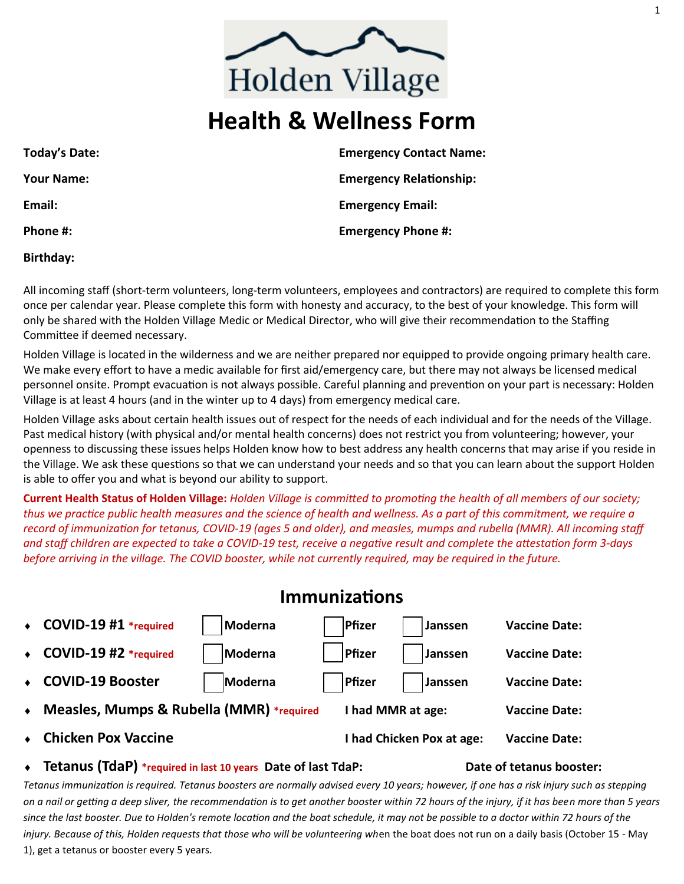# **Health & Wellness Form**

| Today's Date:     | <b>Emergency Contact Name:</b> |
|-------------------|--------------------------------|
| <b>Your Name:</b> | <b>Emergency Relationship:</b> |
| Email:            | <b>Emergency Email:</b>        |
| Phone #:          | <b>Emergency Phone #:</b>      |
|                   |                                |

**Birthday:**

All incoming staff (short-term volunteers, long-term volunteers, employees and contractors) are required to complete this form once per calendar year. Please complete this form with honesty and accuracy, to the best of your knowledge. This form will only be shared with the Holden Village Medic or Medical Director, who will give their recommendation to the Staffing Committee if deemed necessary.

Holden Village is located in the wilderness and we are neither prepared nor equipped to provide ongoing primary health care. We make every effort to have a medic available for first aid/emergency care, but there may not always be licensed medical personnel onsite. Prompt evacuation is not always possible. Careful planning and prevention on your part is necessary: Holden Village is at least 4 hours (and in the winter up to 4 days) from emergency medical care.

Holden Village asks about certain health issues out of respect for the needs of each individual and for the needs of the Village. Past medical history (with physical and/or mental health concerns) does not restrict you from volunteering; however, your openness to discussing these issues helps Holden know how to best address any health concerns that may arise if you reside in the Village. We ask these questions so that we can understand your needs and so that you can learn about the support Holden is able to offer you and what is beyond our ability to support.

**Current Health Status of Holden Village:** *Holden Village is committed to promoting the health of all members of our society; thus we practice public health measures and the science of health and wellness. As a part of this commitment, we require a record of immunization for tetanus, COVID-19 (ages 5 and older), and measles, mumps and rubella (MMR). All incoming staff and staff children are expected to take a COVID-19 test, receive a negative result and complete the attestation form 3-days before arriving in the village. The COVID booster, while not currently required, may be required in the future.*

|           | <b>Immunizations</b>                     |         |                   |                           |                      |  |  |
|-----------|------------------------------------------|---------|-------------------|---------------------------|----------------------|--|--|
| $\bullet$ | COVID-19 #1 *required                    | Moderna | Pfizer            | Janssen                   | <b>Vaccine Date:</b> |  |  |
| $\bullet$ | COVID-19 #2 *required                    | Moderna | Pfizer            | Janssen                   | <b>Vaccine Date:</b> |  |  |
| $\bullet$ | <b>COVID-19 Booster</b>                  | Moderna | Pfizer            | Janssen                   | <b>Vaccine Date:</b> |  |  |
| $\bullet$ | Measles, Mumps & Rubella (MMR) *required |         | I had MMR at age: | <b>Vaccine Date:</b>      |                      |  |  |
|           | <b>Chicken Pox Vaccine</b>               |         |                   | I had Chicken Pox at age: | <b>Vaccine Date:</b> |  |  |
|           |                                          |         |                   |                           |                      |  |  |

**Tetanus (TdaP) \*required in last 10 years Date of last TdaP: Date of tetanus booster:**

*Tetanus immunization is required. Tetanus boosters are normally advised every 10 years; however, if one has a risk injury such as stepping on a nail or getting a deep sliver, the recommendation is to get another booster within 72 hours of the injury, if it has been more than 5 years since the last booster. Due to Holden's remote location and the boat schedule, it may not be possible to a doctor within 72 hours of the injury. Because of this, Holden requests that those who will be volunteering wh*en the boat does not run on a daily basis (October 15 - May 1), get a tetanus or booster every 5 years.